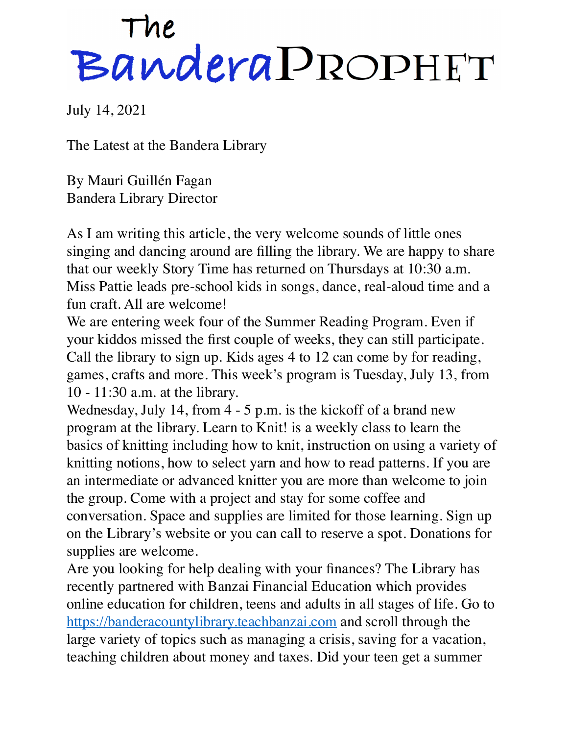## The<br>Bandera PROPHET

July 14, 2021

The Latest at the Bandera Library

By Mauri Guillén Fagan Bandera Library Director

As I am writing this article, the very welcome sounds of little ones singing and dancing around are filling the library. We are happy to share that our weekly Story Time has returned on Thursdays at 10:30 a.m. Miss Pattie leads pre-school kids in songs, dance, real-aloud time and a fun craft. All are welcome!

We are entering week four of the Summer Reading Program. Even if your kiddos missed the first couple of weeks, they can still participate. Call the library to sign up. Kids ages 4 to 12 can come by for reading, games, crafts and more. This week's program is Tuesday, July 13, from 10 - 11:30 a.m. at the library.

Wednesday, July 14, from 4 - 5 p.m. is the kickoff of a brand new program at the library. Learn to Knit! is a weekly class to learn the basics of knitting including how to knit, instruction on using a variety of knitting notions, how to select yarn and how to read patterns. If you are an intermediate or advanced knitter you are more than welcome to join the group. Come with a project and stay for some coffee and conversation. Space and supplies are limited for those learning. Sign up on the Library's website or you can call to reserve a spot. Donations for supplies are welcome.

Are you looking for help dealing with your finances? The Library has recently partnered with Banzai Financial Education which provides online education for children, teens and adults in all stages of life. Go to <https://banderacountylibrary.teachbanzai.com> and scroll through the large variety of topics such as managing a crisis, saving for a vacation, teaching children about money and taxes. Did your teen get a summer